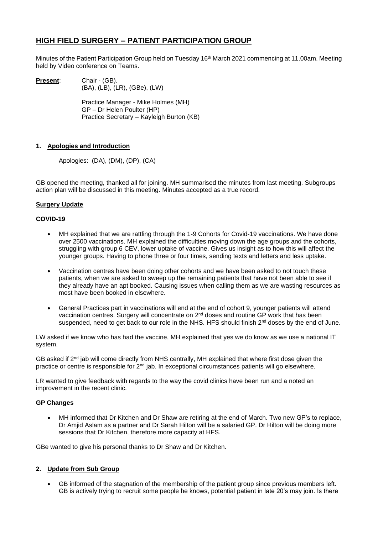# **HIGH FIELD SURGERY – PATIENT PARTICIPATION GROUP**

Minutes of the Patient Participation Group held on Tuesday 16<sup>th</sup> March 2021 commencing at 11.00am. Meeting held by Video conference on Teams.

**Present:** Chair - (GB). (BA), (LB), (LR), (GBe), (LW)

> Practice Manager - Mike Holmes (MH) GP – Dr Helen Poulter (HP) Practice Secretary – Kayleigh Burton (KB)

# **1. Apologies and Introduction**

Apologies: (DA), (DM), (DP), (CA)

GB opened the meeting, thanked all for joining. MH summarised the minutes from last meeting. Subgroups action plan will be discussed in this meeting. Minutes accepted as a true record.

# **Surgery Update**

#### **COVID-19**

- MH explained that we are rattling through the 1-9 Cohorts for Covid-19 vaccinations. We have done over 2500 vaccinations. MH explained the difficulties moving down the age groups and the cohorts, struggling with group 6 CEV, lower uptake of vaccine. Gives us insight as to how this will affect the younger groups. Having to phone three or four times, sending texts and letters and less uptake.
- Vaccination centres have been doing other cohorts and we have been asked to not touch these patients, when we are asked to sweep up the remaining patients that have not been able to see if they already have an apt booked. Causing issues when calling them as we are wasting resources as most have been booked in elsewhere.
- General Practices part in vaccinations will end at the end of cohort 9, younger patients will attend vaccination centres. Surgery will concentrate on 2<sup>nd</sup> doses and routine GP work that has been suspended, need to get back to our role in the NHS. HFS should finish 2<sup>nd</sup> doses by the end of June.

LW asked if we know who has had the vaccine, MH explained that yes we do know as we use a national IT system.

GB asked if 2<sup>nd</sup> jab will come directly from NHS centrally, MH explained that where first dose given the practice or centre is responsible for 2<sup>nd</sup> jab. In exceptional circumstances patients will go elsewhere.

LR wanted to give feedback with regards to the way the covid clinics have been run and a noted an improvement in the recent clinic.

# **GP Changes**

• MH informed that Dr Kitchen and Dr Shaw are retiring at the end of March. Two new GP's to replace, Dr Amjid Aslam as a partner and Dr Sarah Hilton will be a salaried GP. Dr Hilton will be doing more sessions that Dr Kitchen, therefore more capacity at HFS.

GBe wanted to give his personal thanks to Dr Shaw and Dr Kitchen.

# **2. Update from Sub Group**

• GB informed of the stagnation of the membership of the patient group since previous members left. GB is actively trying to recruit some people he knows, potential patient in late 20's may join. Is there